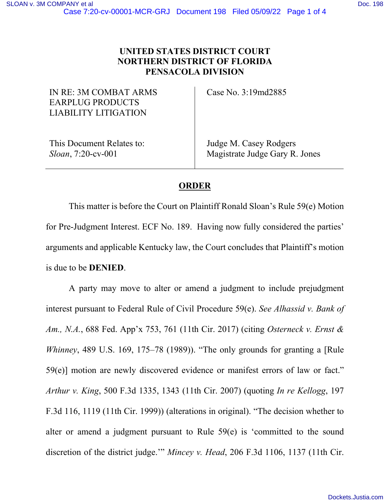## **UNITED STATES DISTRICT COURT NORTHERN DISTRICT OF FLORIDA PENSACOLA DIVISION**

IN RE: 3M COMBAT ARMS EARPLUG PRODUCTS LIABILITY LITIGATION

Case No. 3:19md2885

This Document Relates to: *Sloan*, 7:20-cv-001

Judge M. Casey Rodgers Magistrate Judge Gary R. Jones

## **ORDER**

This matter is before the Court on Plaintiff Ronald Sloan's Rule 59(e) Motion for Pre-Judgment Interest. ECF No. 189. Having now fully considered the parties' arguments and applicable Kentucky law, the Court concludes that Plaintiff's motion is due to be **DENIED**.

A party may move to alter or amend a judgment to include prejudgment interest pursuant to Federal Rule of Civil Procedure 59(e). *See Alhassid v. Bank of Am., N.A.*, 688 Fed. App'x 753, 761 (11th Cir. 2017) (citing *Osterneck v. Ernst & Whinney*, 489 U.S. 169, 175–78 (1989)). "The only grounds for granting a [Rule 59(e)] motion are newly discovered evidence or manifest errors of law or fact." *Arthur v. King*, 500 F.3d 1335, 1343 (11th Cir. 2007) (quoting *In re Kellogg*, 197 F.3d 116, 1119 (11th Cir. 1999)) (alterations in original). "The decision whether to alter or amend a judgment pursuant to Rule 59(e) is 'committed to the sound discretion of the district judge.'" *Mincey v. Head*, 206 F.3d 1106, 1137 (11th Cir.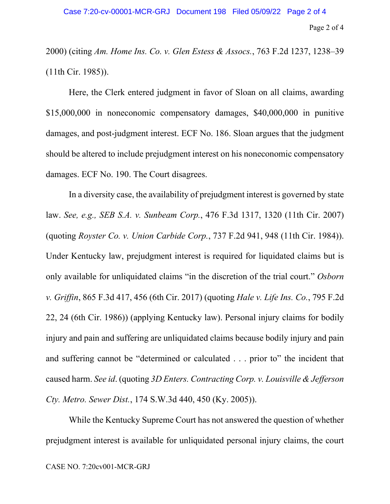2000) (citing *Am. Home Ins. Co. v. Glen Estess & Assocs.*, 763 F.2d 1237, 1238–39 (11th Cir. 1985)).

Here, the Clerk entered judgment in favor of Sloan on all claims, awarding \$15,000,000 in noneconomic compensatory damages, \$40,000,000 in punitive damages, and post-judgment interest. ECF No. 186. Sloan argues that the judgment should be altered to include prejudgment interest on his noneconomic compensatory damages. ECF No. 190. The Court disagrees.

In a diversity case, the availability of prejudgment interest is governed by state law. *See, e.g., SEB S.A. v. Sunbeam Corp.*, 476 F.3d 1317, 1320 (11th Cir. 2007) (quoting *Royster Co. v. Union Carbide Corp.*, 737 F.2d 941, 948 (11th Cir. 1984)). Under Kentucky law, prejudgment interest is required for liquidated claims but is only available for unliquidated claims "in the discretion of the trial court." *Osborn v. Griffin*, 865 F.3d 417, 456 (6th Cir. 2017) (quoting *Hale v. Life Ins. Co.*, 795 F.2d 22, 24 (6th Cir. 1986)) (applying Kentucky law). Personal injury claims for bodily injury and pain and suffering are unliquidated claims because bodily injury and pain and suffering cannot be "determined or calculated . . . prior to" the incident that caused harm. *See id*. (quoting *3D Enters. Contracting Corp. v. Louisville & Jefferson Cty. Metro. Sewer Dist.*, 174 S.W.3d 440, 450 (Ky. 2005)).

While the Kentucky Supreme Court has not answered the question of whether prejudgment interest is available for unliquidated personal injury claims, the court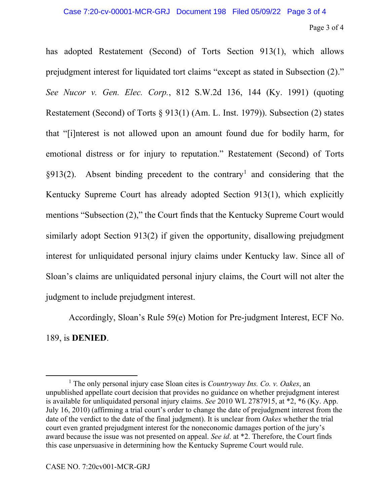has adopted Restatement (Second) of Torts Section 913(1), which allows prejudgment interest for liquidated tort claims "except as stated in Subsection (2)." *See Nucor v. Gen. Elec. Corp.*, 812 S.W.2d 136, 144 (Ky. 1991) (quoting Restatement (Second) of Torts § 913(1) (Am. L. Inst. 1979)). Subsection (2) states that "[i]nterest is not allowed upon an amount found due for bodily harm, for emotional distress or for injury to reputation." Restatement (Second) of Torts  $\S913(2)$  $\S913(2)$  $\S913(2)$ . Absent binding precedent to the contrary<sup>1</sup> and considering that the Kentucky Supreme Court has already adopted Section 913(1), which explicitly mentions "Subsection (2)," the Court finds that the Kentucky Supreme Court would similarly adopt Section 913(2) if given the opportunity, disallowing prejudgment interest for unliquidated personal injury claims under Kentucky law. Since all of Sloan's claims are unliquidated personal injury claims, the Court will not alter the judgment to include prejudgment interest.

Accordingly, Sloan's Rule 59(e) Motion for Pre-judgment Interest, ECF No. 189, is **DENIED**.

<span id="page-2-0"></span><sup>&</sup>lt;sup>1</sup> The only personal injury case Sloan cites is *Countryway Ins. Co. v. Oakes*, an unpublished appellate court decision that provides no guidance on whether prejudgment interest is available for unliquidated personal injury claims. *See* 2010 WL 2787915, at \*2, \*6 (Ky. App. July 16, 2010) (affirming a trial court's order to change the date of prejudgment interest from the date of the verdict to the date of the final judgment). It is unclear from *Oakes* whether the trial court even granted prejudgment interest for the noneconomic damages portion of the jury's award because the issue was not presented on appeal. *See id*. at \*2. Therefore, the Court finds this case unpersuasive in determining how the Kentucky Supreme Court would rule.